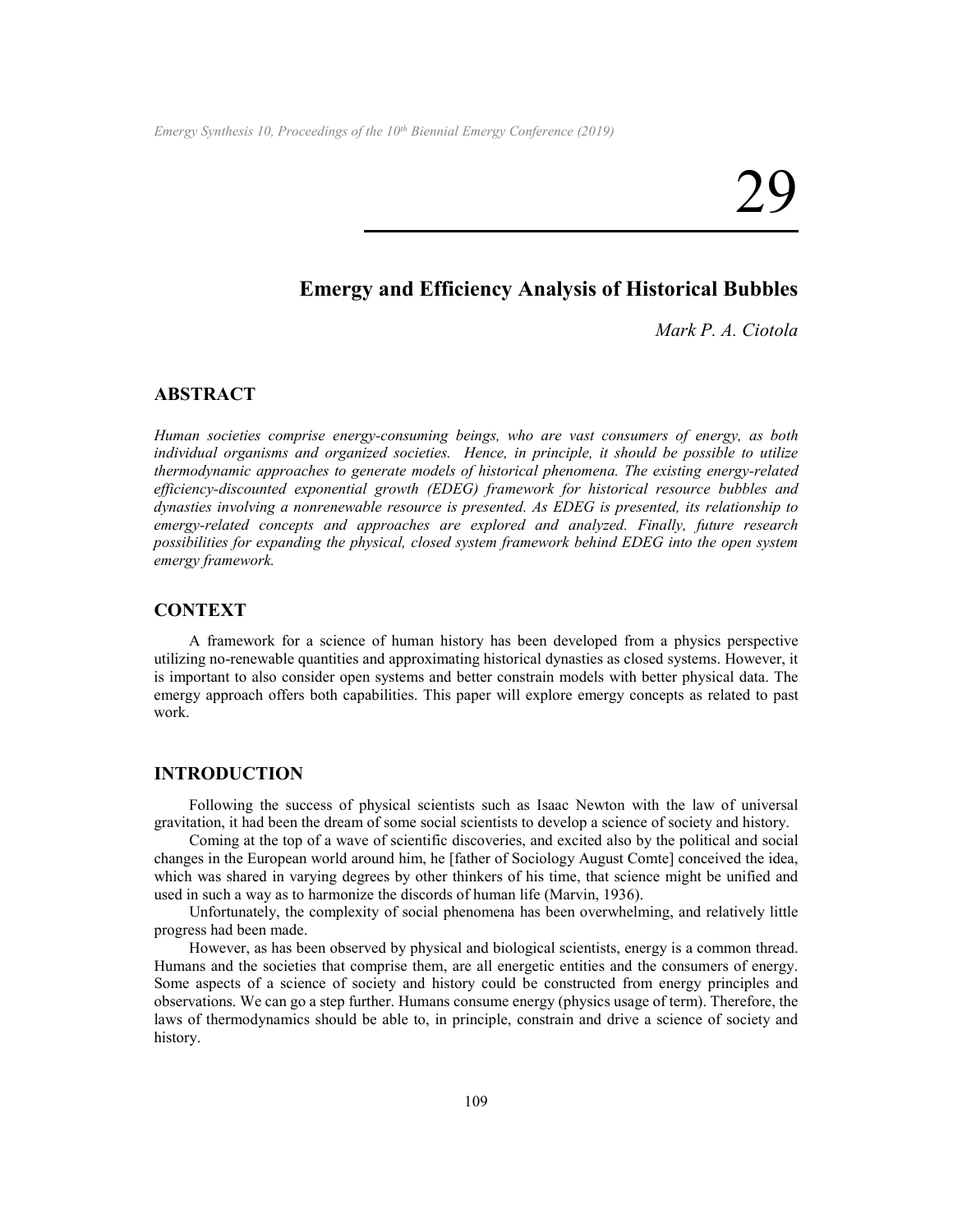# **Emergy and Efficiency Analysis of Historical Bubbles**

*Mark P. A. Ciotola*

# **ABSTRACT**

*Human societies comprise energy-consuming beings, who are vast consumers of energy, as both individual organisms and organized societies. Hence, in principle, it should be possible to utilize thermodynamic approaches to generate models of historical phenomena. The existing energy-related efficiency-discounted exponential growth (EDEG) framework for historical resource bubbles and dynasties involving a nonrenewable resource is presented. As EDEG is presented, its relationship to emergy-related concepts and approaches are explored and analyzed. Finally, future research possibilities for expanding the physical, closed system framework behind EDEG into the open system emergy framework.*

# **CONTEXT**

A framework for a science of human history has been developed from a physics perspective utilizing no-renewable quantities and approximating historical dynasties as closed systems. However, it is important to also consider open systems and better constrain models with better physical data. The emergy approach offers both capabilities. This paper will explore emergy concepts as related to past work.

### **INTRODUCTION**

Following the success of physical scientists such as Isaac Newton with the law of universal gravitation, it had been the dream of some social scientists to develop a science of society and history.

Coming at the top of a wave of scientific discoveries, and excited also by the political and social changes in the European world around him, he [father of Sociology August Comte] conceived the idea, which was shared in varying degrees by other thinkers of his time, that science might be unified and used in such a way as to harmonize the discords of human life (Marvin, 1936).

Unfortunately, the complexity of social phenomena has been overwhelming, and relatively little progress had been made.

However, as has been observed by physical and biological scientists, energy is a common thread. Humans and the societies that comprise them, are all energetic entities and the consumers of energy. Some aspects of a science of society and history could be constructed from energy principles and observations. We can go a step further. Humans consume energy (physics usage of term). Therefore, the laws of thermodynamics should be able to, in principle, constrain and drive a science of society and history.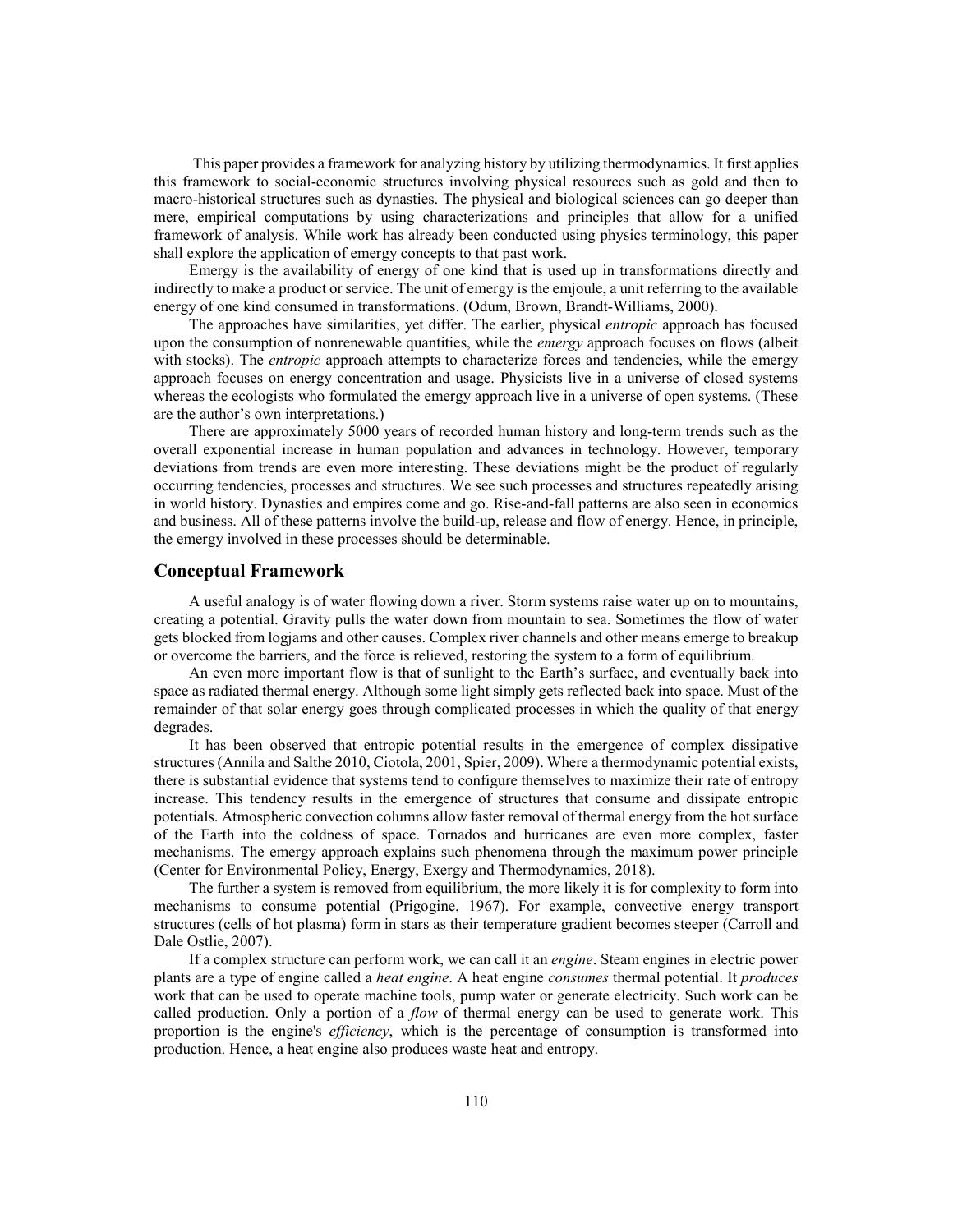This paper provides a framework for analyzing history by utilizing thermodynamics. It first applies this framework to social-economic structures involving physical resources such as gold and then to macro-historical structures such as dynasties. The physical and biological sciences can go deeper than mere, empirical computations by using characterizations and principles that allow for a unified framework of analysis. While work has already been conducted using physics terminology, this paper shall explore the application of emergy concepts to that past work.

Emergy is the availability of energy of one kind that is used up in transformations directly and indirectly to make a product or service. The unit of emergy is the emjoule, a unit referring to the available energy of one kind consumed in transformations. (Odum, Brown, Brandt-Williams, 2000).

The approaches have similarities, yet differ. The earlier, physical *entropic* approach has focused upon the consumption of nonrenewable quantities, while the *emergy* approach focuses on flows (albeit with stocks). The *entropic* approach attempts to characterize forces and tendencies, while the emergy approach focuses on energy concentration and usage. Physicists live in a universe of closed systems whereas the ecologists who formulated the emergy approach live in a universe of open systems. (These are the author's own interpretations.)

There are approximately 5000 years of recorded human history and long-term trends such as the overall exponential increase in human population and advances in technology. However, temporary deviations from trends are even more interesting. These deviations might be the product of regularly occurring tendencies, processes and structures. We see such processes and structures repeatedly arising in world history. Dynasties and empires come and go. Rise-and-fall patterns are also seen in economics and business. All of these patterns involve the build-up, release and flow of energy. Hence, in principle, the emergy involved in these processes should be determinable.

#### **Conceptual Framework**

A useful analogy is of water flowing down a river. Storm systems raise water up on to mountains, creating a potential. Gravity pulls the water down from mountain to sea. Sometimes the flow of water gets blocked from logjams and other causes. Complex river channels and other means emerge to breakup or overcome the barriers, and the force is relieved, restoring the system to a form of equilibrium.

An even more important flow is that of sunlight to the Earth's surface, and eventually back into space as radiated thermal energy. Although some light simply gets reflected back into space. Must of the remainder of that solar energy goes through complicated processes in which the quality of that energy degrades.

It has been observed that entropic potential results in the emergence of complex dissipative structures (Annila and Salthe 2010, Ciotola, 2001, Spier, 2009). Where a thermodynamic potential exists, there is substantial evidence that systems tend to configure themselves to maximize their rate of entropy increase. This tendency results in the emergence of structures that consume and dissipate entropic potentials. Atmospheric convection columns allow faster removal of thermal energy from the hot surface of the Earth into the coldness of space. Tornados and hurricanes are even more complex, faster mechanisms. The emergy approach explains such phenomena through the maximum power principle (Center for Environmental Policy, Energy, Exergy and Thermodynamics, 2018).

The further a system is removed from equilibrium, the more likely it is for complexity to form into mechanisms to consume potential (Prigogine, 1967). For example, convective energy transport structures (cells of hot plasma) form in stars as their temperature gradient becomes steeper (Carroll and Dale Ostlie, 2007).

If a complex structure can perform work, we can call it an *engine*. Steam engines in electric power plants are a type of engine called a *heat engine*. A heat engine *consumes* thermal potential. It *produces* work that can be used to operate machine tools, pump water or generate electricity. Such work can be called production. Only a portion of a *flow* of thermal energy can be used to generate work. This proportion is the engine's *efficiency*, which is the percentage of consumption is transformed into production. Hence, a heat engine also produces waste heat and entropy.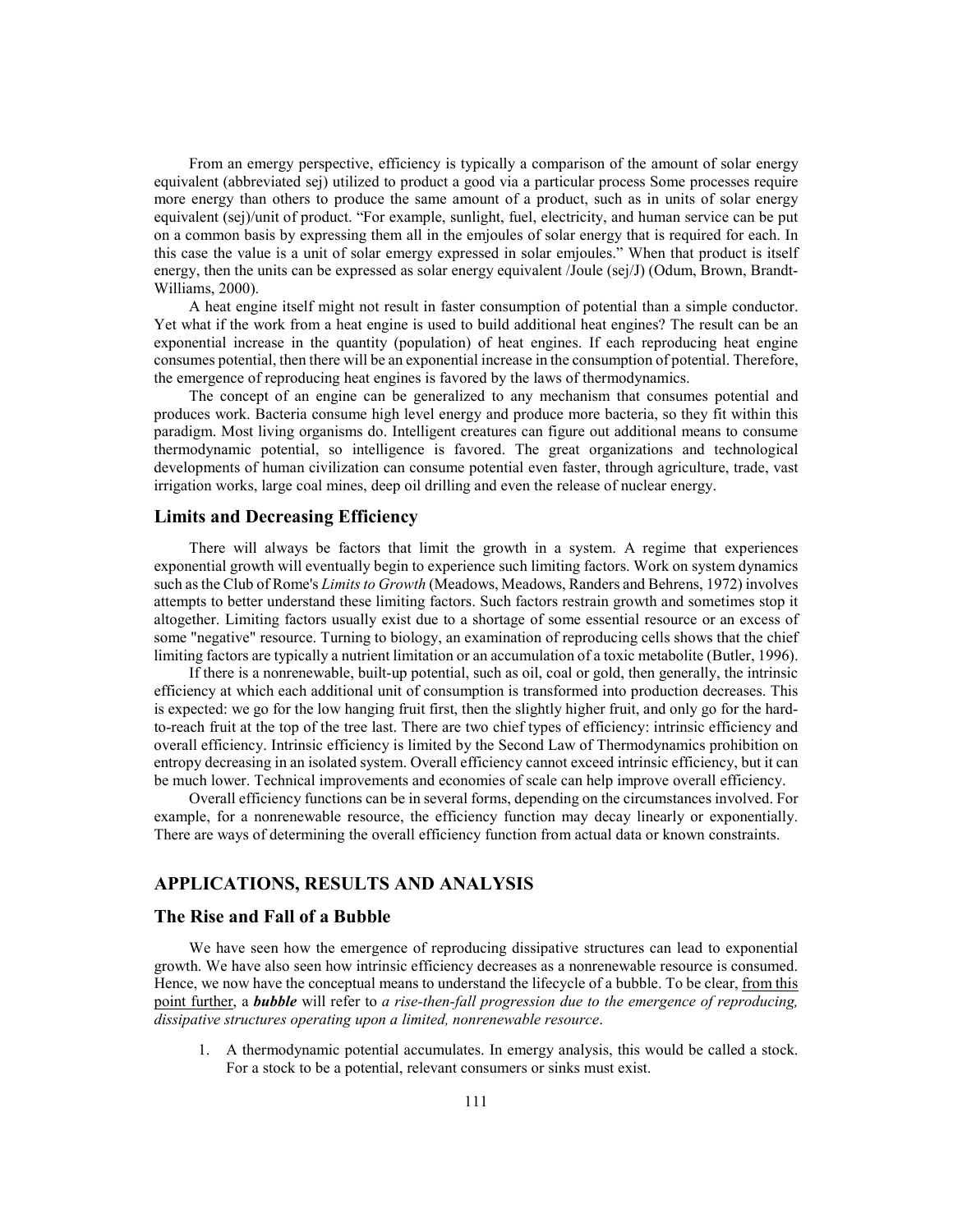From an emergy perspective, efficiency is typically a comparison of the amount of solar energy equivalent (abbreviated sej) utilized to product a good via a particular process Some processes require more energy than others to produce the same amount of a product, such as in units of solar energy equivalent (sej)/unit of product. "For example, sunlight, fuel, electricity, and human service can be put on a common basis by expressing them all in the emjoules of solar energy that is required for each. In this case the value is a unit of solar emergy expressed in solar emjoules." When that product is itself energy, then the units can be expressed as solar energy equivalent /Joule (sej/J) (Odum, Brown, Brandt-Williams, 2000).

A heat engine itself might not result in faster consumption of potential than a simple conductor. Yet what if the work from a heat engine is used to build additional heat engines? The result can be an exponential increase in the quantity (population) of heat engines. If each reproducing heat engine consumes potential, then there will be an exponential increase in the consumption of potential. Therefore, the emergence of reproducing heat engines is favored by the laws of thermodynamics.

The concept of an engine can be generalized to any mechanism that consumes potential and produces work. Bacteria consume high level energy and produce more bacteria, so they fit within this paradigm. Most living organisms do. Intelligent creatures can figure out additional means to consume thermodynamic potential, so intelligence is favored. The great organizations and technological developments of human civilization can consume potential even faster, through agriculture, trade, vast irrigation works, large coal mines, deep oil drilling and even the release of nuclear energy.

### **Limits and Decreasing Efficiency**

There will always be factors that limit the growth in a system. A regime that experiences exponential growth will eventually begin to experience such limiting factors. Work on system dynamics such as the Club of Rome's *Limits to Growth* (Meadows, Meadows, Randers and Behrens, 1972) involves attempts to better understand these limiting factors. Such factors restrain growth and sometimes stop it altogether. Limiting factors usually exist due to a shortage of some essential resource or an excess of some "negative" resource. Turning to biology, an examination of reproducing cells shows that the chief limiting factors are typically a nutrient limitation or an accumulation of a toxic metabolite (Butler, 1996).

If there is a nonrenewable, built-up potential, such as oil, coal or gold, then generally, the intrinsic efficiency at which each additional unit of consumption is transformed into production decreases. This is expected: we go for the low hanging fruit first, then the slightly higher fruit, and only go for the hardto-reach fruit at the top of the tree last. There are two chief types of efficiency: intrinsic efficiency and overall efficiency. Intrinsic efficiency is limited by the Second Law of Thermodynamics prohibition on entropy decreasing in an isolated system. Overall efficiency cannot exceed intrinsic efficiency, but it can be much lower. Technical improvements and economies of scale can help improve overall efficiency.

Overall efficiency functions can be in several forms, depending on the circumstances involved. For example, for a nonrenewable resource, the efficiency function may decay linearly or exponentially. There are ways of determining the overall efficiency function from actual data or known constraints.

# **APPLICATIONS, RESULTS AND ANALYSIS**

#### **The Rise and Fall of a Bubble**

We have seen how the emergence of reproducing dissipative structures can lead to exponential growth. We have also seen how intrinsic efficiency decreases as a nonrenewable resource is consumed. Hence, we now have the conceptual means to understand the lifecycle of a bubble. To be clear, from this point further, a *bubble* will refer to *a rise-then-fall progression due to the emergence of reproducing, dissipative structures operating upon a limited, nonrenewable resource*.

1. A thermodynamic potential accumulates. In emergy analysis, this would be called a stock. For a stock to be a potential, relevant consumers or sinks must exist.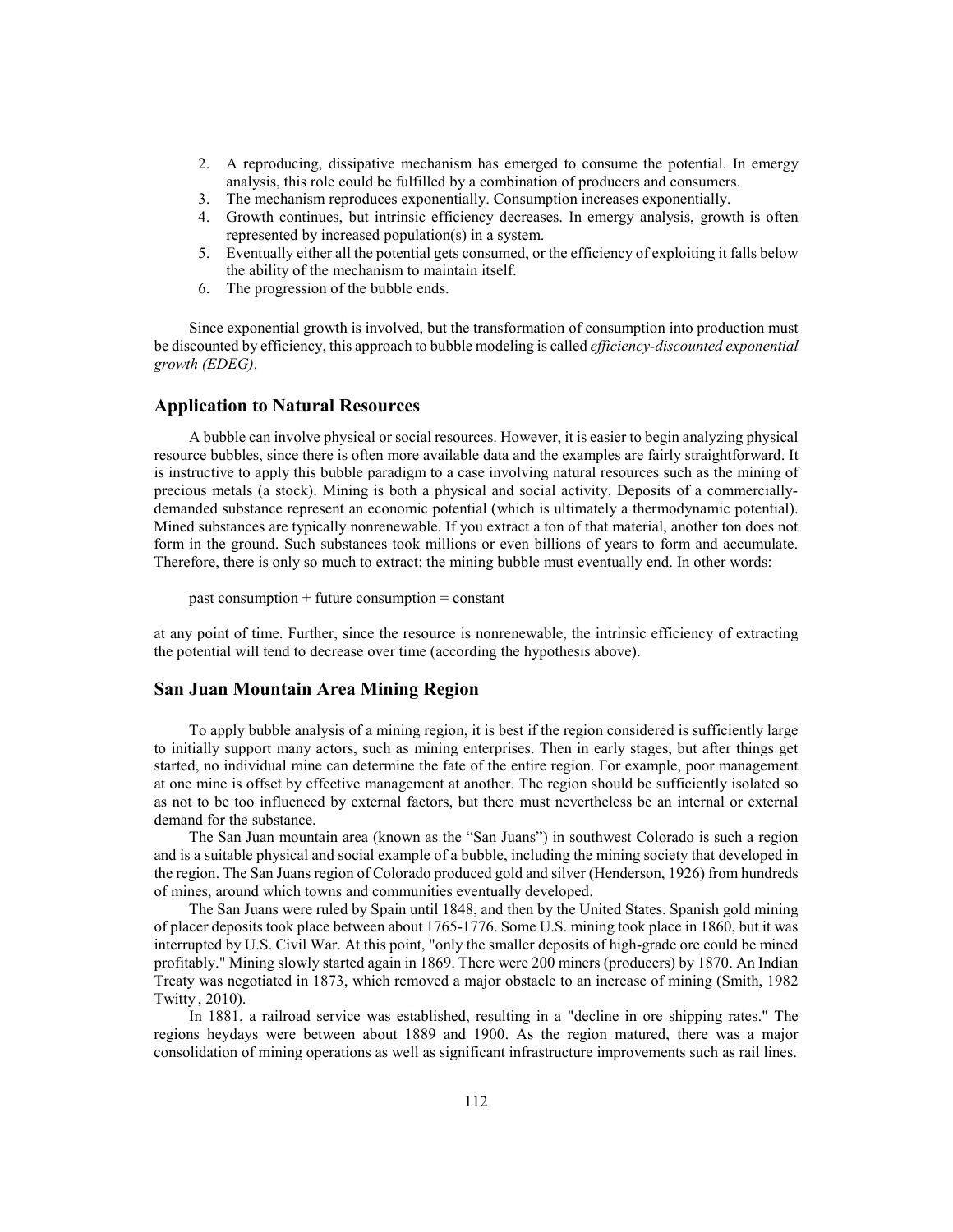- 2. A reproducing, dissipative mechanism has emerged to consume the potential. In emergy analysis, this role could be fulfilled by a combination of producers and consumers.
- 3. The mechanism reproduces exponentially. Consumption increases exponentially.
- 4. Growth continues, but intrinsic efficiency decreases. In emergy analysis, growth is often represented by increased population(s) in a system.
- 5. Eventually either all the potential gets consumed, or the efficiency of exploiting it falls below the ability of the mechanism to maintain itself.
- 6. The progression of the bubble ends.

Since exponential growth is involved, but the transformation of consumption into production must be discounted by efficiency, this approach to bubble modeling is called *efficiency-discounted exponential growth (EDEG)*.

### **Application to Natural Resources**

A bubble can involve physical or social resources. However, it is easier to begin analyzing physical resource bubbles, since there is often more available data and the examples are fairly straightforward. It is instructive to apply this bubble paradigm to a case involving natural resources such as the mining of precious metals (a stock). Mining is both a physical and social activity. Deposits of a commerciallydemanded substance represent an economic potential (which is ultimately a thermodynamic potential). Mined substances are typically nonrenewable. If you extract a ton of that material, another ton does not form in the ground. Such substances took millions or even billions of years to form and accumulate. Therefore, there is only so much to extract: the mining bubble must eventually end. In other words:

past consumption + future consumption = constant

at any point of time. Further, since the resource is nonrenewable, the intrinsic efficiency of extracting the potential will tend to decrease over time (according the hypothesis above).

#### **San Juan Mountain Area Mining Region**

To apply bubble analysis of a mining region, it is best if the region considered is sufficiently large to initially support many actors, such as mining enterprises. Then in early stages, but after things get started, no individual mine can determine the fate of the entire region. For example, poor management at one mine is offset by effective management at another. The region should be sufficiently isolated so as not to be too influenced by external factors, but there must nevertheless be an internal or external demand for the substance.

The San Juan mountain area (known as the "San Juans") in southwest Colorado is such a region and is a suitable physical and social example of a bubble, including the mining society that developed in the region. The San Juans region of Colorado produced gold and silver (Henderson, 1926) from hundreds of mines, around which towns and communities eventually developed.

The San Juans were ruled by Spain until 1848, and then by the United States. Spanish gold mining of placer deposits took place between about 1765-1776. Some U.S. mining took place in 1860, but it was interrupted by U.S. Civil War. At this point, "only the smaller deposits of high-grade ore could be mined profitably." Mining slowly started again in 1869. There were 200 miners (producers) by 1870. An Indian Treaty was negotiated in 1873, which removed a major obstacle to an increase of mining (Smith, 1982 Twitty , 2010).

In 1881, a railroad service was established, resulting in a "decline in ore shipping rates." The regions heydays were between about 1889 and 1900. As the region matured, there was a major consolidation of mining operations as well as significant infrastructure improvements such as rail lines.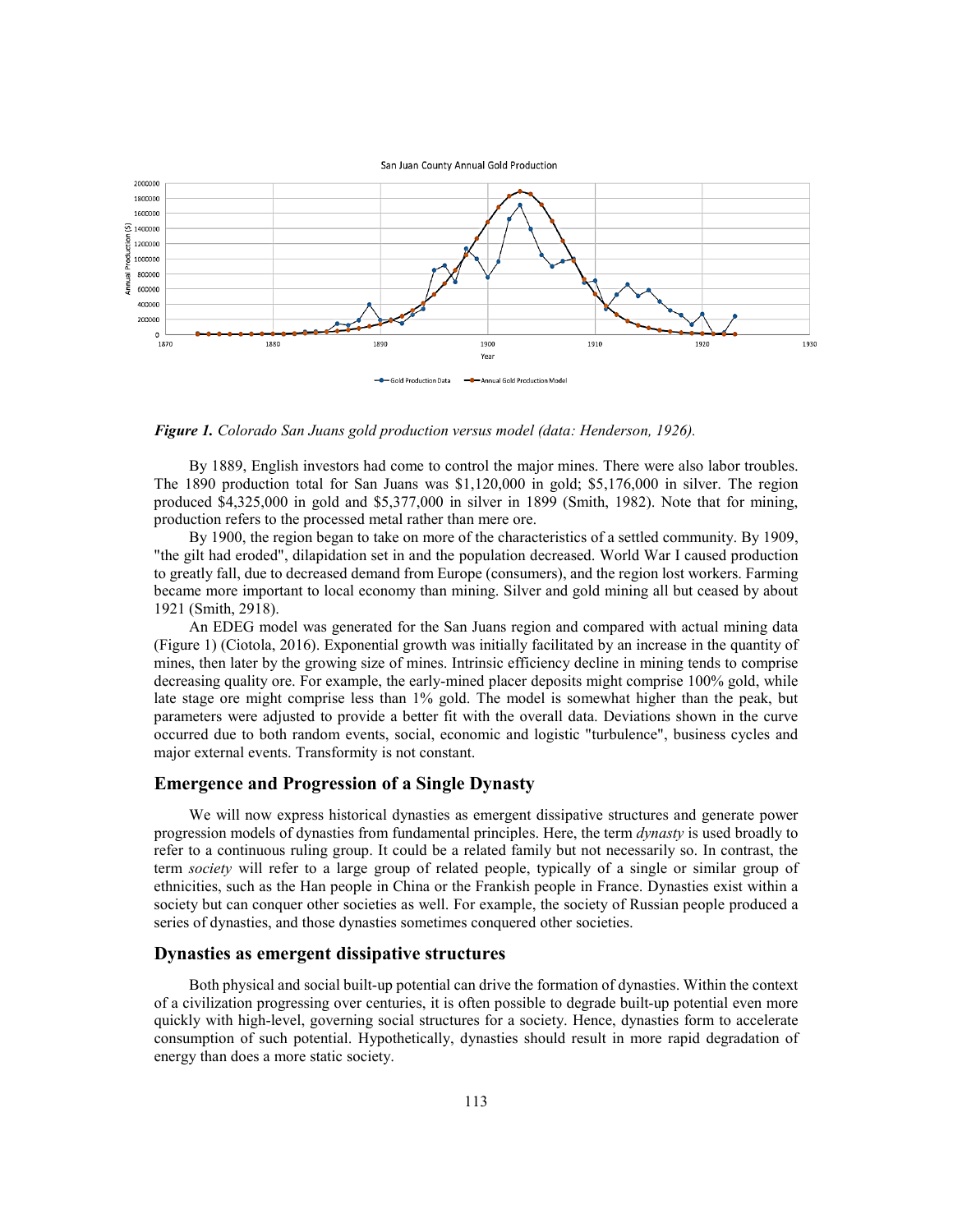

*Figure 1. Colorado San Juans gold production versus model (data: Henderson, 1926).*

By 1889, English investors had come to control the major mines. There were also labor troubles. The 1890 production total for San Juans was \$1,120,000 in gold; \$5,176,000 in silver. The region produced \$4,325,000 in gold and \$5,377,000 in silver in 1899 (Smith, 1982). Note that for mining, production refers to the processed metal rather than mere ore.

By 1900, the region began to take on more of the characteristics of a settled community. By 1909, "the gilt had eroded", dilapidation set in and the population decreased. World War I caused production to greatly fall, due to decreased demand from Europe (consumers), and the region lost workers. Farming became more important to local economy than mining. Silver and gold mining all but ceased by about 1921 (Smith, 2918).

An EDEG model was generated for the San Juans region and compared with actual mining data (Figure 1) (Ciotola, 2016). Exponential growth was initially facilitated by an increase in the quantity of mines, then later by the growing size of mines. Intrinsic efficiency decline in mining tends to comprise decreasing quality ore. For example, the early-mined placer deposits might comprise 100% gold, while late stage ore might comprise less than 1% gold. The model is somewhat higher than the peak, but parameters were adjusted to provide a better fit with the overall data. Deviations shown in the curve occurred due to both random events, social, economic and logistic "turbulence", business cycles and major external events. Transformity is not constant.

#### **Emergence and Progression of a Single Dynasty**

We will now express historical dynasties as emergent dissipative structures and generate power progression models of dynasties from fundamental principles. Here, the term *dynasty* is used broadly to refer to a continuous ruling group. It could be a related family but not necessarily so. In contrast, the term *society* will refer to a large group of related people, typically of a single or similar group of ethnicities, such as the Han people in China or the Frankish people in France. Dynasties exist within a society but can conquer other societies as well. For example, the society of Russian people produced a series of dynasties, and those dynasties sometimes conquered other societies.

#### **Dynasties as emergent dissipative structures**

Both physical and social built-up potential can drive the formation of dynasties. Within the context of a civilization progressing over centuries, it is often possible to degrade built-up potential even more quickly with high-level, governing social structures for a society. Hence, dynasties form to accelerate consumption of such potential. Hypothetically, dynasties should result in more rapid degradation of energy than does a more static society.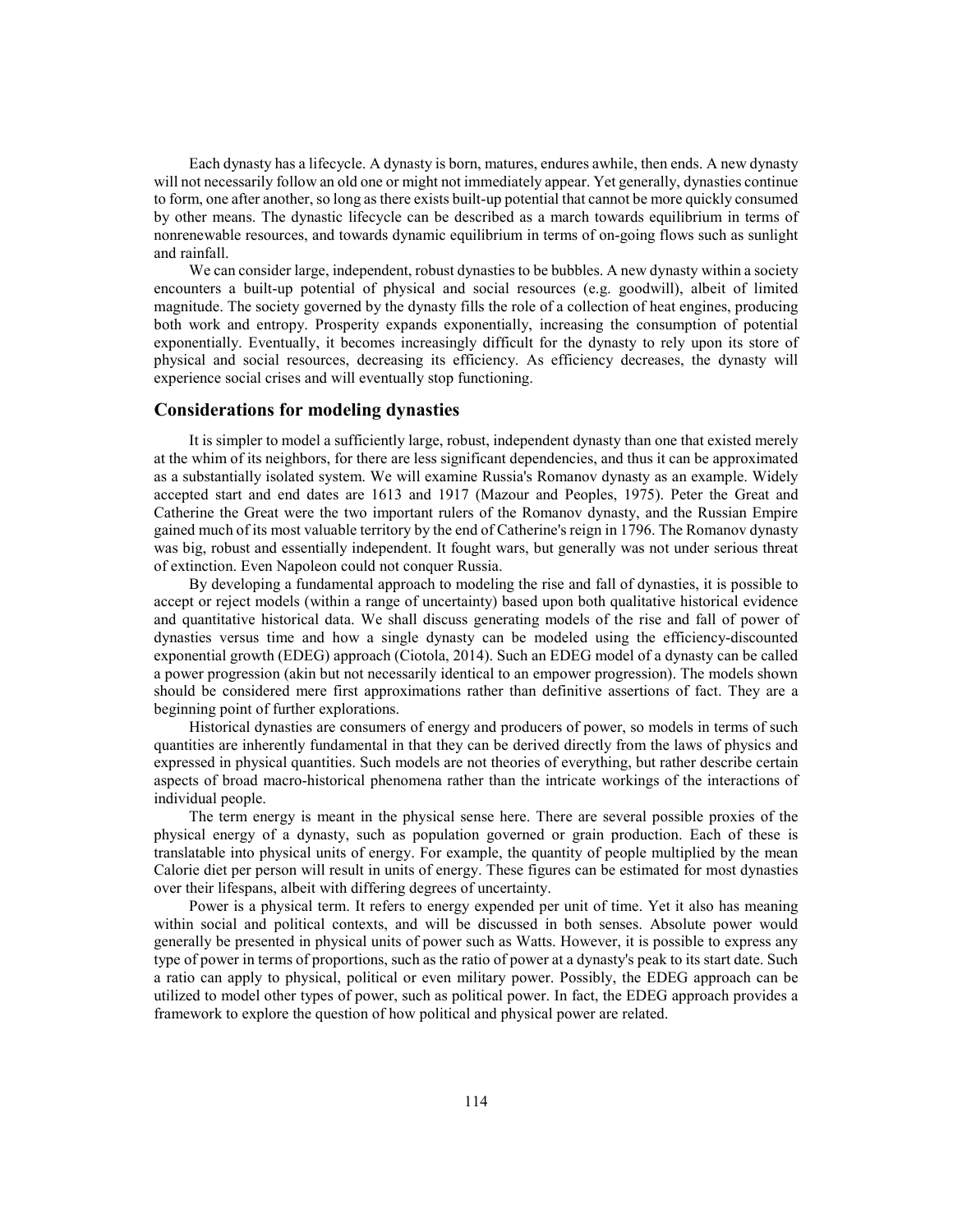Each dynasty has a lifecycle. A dynasty is born, matures, endures awhile, then ends. A new dynasty will not necessarily follow an old one or might not immediately appear. Yet generally, dynasties continue to form, one after another, so long as there exists built-up potential that cannot be more quickly consumed by other means. The dynastic lifecycle can be described as a march towards equilibrium in terms of nonrenewable resources, and towards dynamic equilibrium in terms of on-going flows such as sunlight and rainfall.

We can consider large, independent, robust dynasties to be bubbles. A new dynasty within a society encounters a built-up potential of physical and social resources (e.g. goodwill), albeit of limited magnitude. The society governed by the dynasty fills the role of a collection of heat engines, producing both work and entropy. Prosperity expands exponentially, increasing the consumption of potential exponentially. Eventually, it becomes increasingly difficult for the dynasty to rely upon its store of physical and social resources, decreasing its efficiency. As efficiency decreases, the dynasty will experience social crises and will eventually stop functioning.

#### **Considerations for modeling dynasties**

It is simpler to model a sufficiently large, robust, independent dynasty than one that existed merely at the whim of its neighbors, for there are less significant dependencies, and thus it can be approximated as a substantially isolated system. We will examine Russia's Romanov dynasty as an example. Widely accepted start and end dates are 1613 and 1917 (Mazour and Peoples, 1975). Peter the Great and Catherine the Great were the two important rulers of the Romanov dynasty, and the Russian Empire gained much of its most valuable territory by the end of Catherine's reign in 1796. The Romanov dynasty was big, robust and essentially independent. It fought wars, but generally was not under serious threat of extinction. Even Napoleon could not conquer Russia.

By developing a fundamental approach to modeling the rise and fall of dynasties, it is possible to accept or reject models (within a range of uncertainty) based upon both qualitative historical evidence and quantitative historical data. We shall discuss generating models of the rise and fall of power of dynasties versus time and how a single dynasty can be modeled using the efficiency-discounted exponential growth (EDEG) approach (Ciotola, 2014). Such an EDEG model of a dynasty can be called a power progression (akin but not necessarily identical to an empower progression). The models shown should be considered mere first approximations rather than definitive assertions of fact. They are a beginning point of further explorations.

Historical dynasties are consumers of energy and producers of power, so models in terms of such quantities are inherently fundamental in that they can be derived directly from the laws of physics and expressed in physical quantities. Such models are not theories of everything, but rather describe certain aspects of broad macro-historical phenomena rather than the intricate workings of the interactions of individual people.

The term energy is meant in the physical sense here. There are several possible proxies of the physical energy of a dynasty, such as population governed or grain production. Each of these is translatable into physical units of energy. For example, the quantity of people multiplied by the mean Calorie diet per person will result in units of energy. These figures can be estimated for most dynasties over their lifespans, albeit with differing degrees of uncertainty.

Power is a physical term. It refers to energy expended per unit of time. Yet it also has meaning within social and political contexts, and will be discussed in both senses. Absolute power would generally be presented in physical units of power such as Watts. However, it is possible to express any type of power in terms of proportions, such as the ratio of power at a dynasty's peak to its start date. Such a ratio can apply to physical, political or even military power. Possibly, the EDEG approach can be utilized to model other types of power, such as political power. In fact, the EDEG approach provides a framework to explore the question of how political and physical power are related.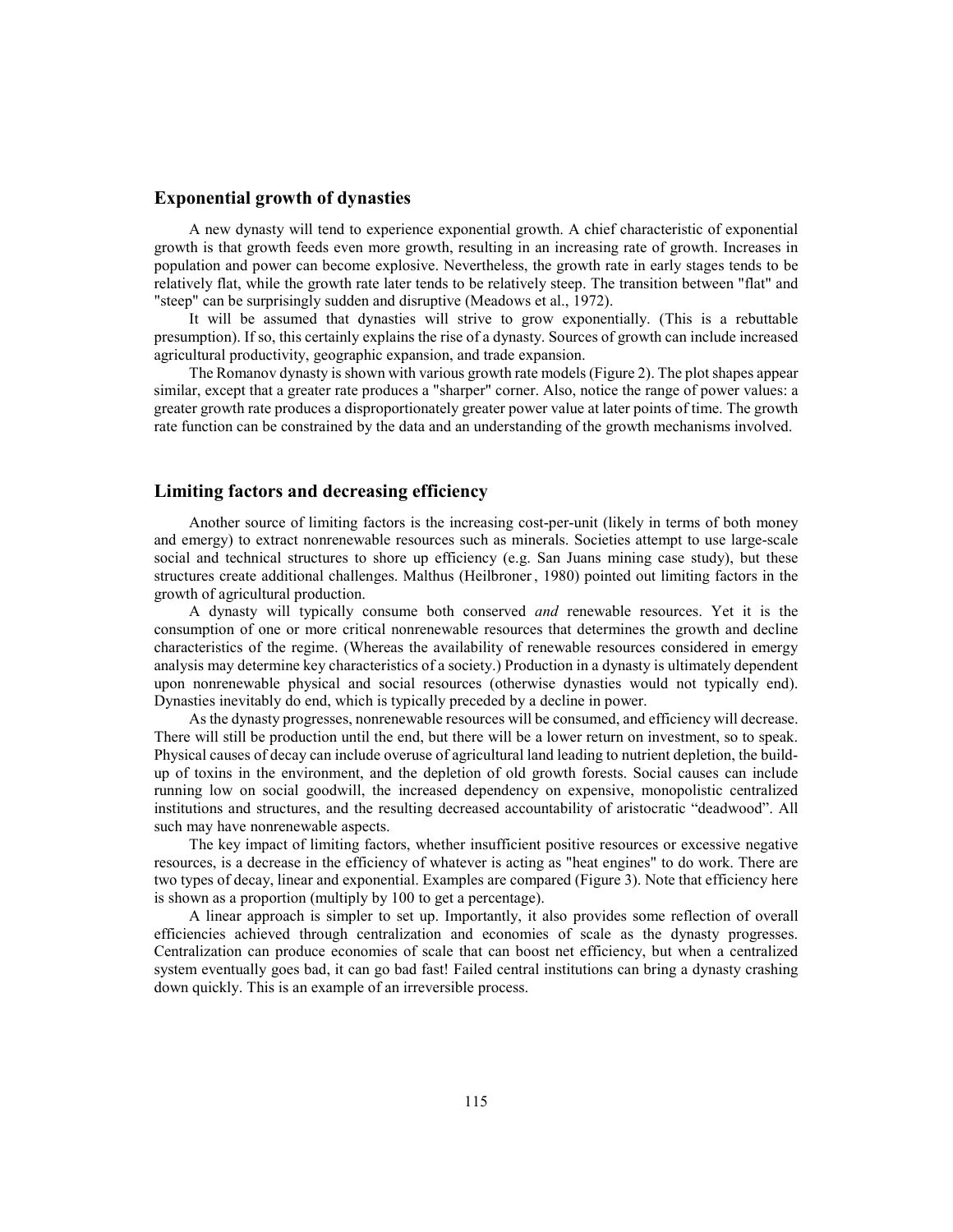### **Exponential growth of dynasties**

A new dynasty will tend to experience exponential growth. A chief characteristic of exponential growth is that growth feeds even more growth, resulting in an increasing rate of growth. Increases in population and power can become explosive. Nevertheless, the growth rate in early stages tends to be relatively flat, while the growth rate later tends to be relatively steep. The transition between "flat" and "steep" can be surprisingly sudden and disruptive (Meadows et al., 1972).

It will be assumed that dynasties will strive to grow exponentially. (This is a rebuttable presumption). If so, this certainly explains the rise of a dynasty. Sources of growth can include increased agricultural productivity, geographic expansion, and trade expansion.

The Romanov dynasty is shown with various growth rate models (Figure 2). The plot shapes appear similar, except that a greater rate produces a "sharper" corner. Also, notice the range of power values: a greater growth rate produces a disproportionately greater power value at later points of time. The growth rate function can be constrained by the data and an understanding of the growth mechanisms involved.

### **Limiting factors and decreasing efficiency**

Another source of limiting factors is the increasing cost-per-unit (likely in terms of both money and emergy) to extract nonrenewable resources such as minerals. Societies attempt to use large-scale social and technical structures to shore up efficiency (e.g. San Juans mining case study), but these structures create additional challenges. Malthus (Heilbroner, 1980) pointed out limiting factors in the growth of agricultural production.

A dynasty will typically consume both conserved *and* renewable resources. Yet it is the consumption of one or more critical nonrenewable resources that determines the growth and decline characteristics of the regime. (Whereas the availability of renewable resources considered in emergy analysis may determine key characteristics of a society.) Production in a dynasty is ultimately dependent upon nonrenewable physical and social resources (otherwise dynasties would not typically end). Dynasties inevitably do end, which is typically preceded by a decline in power.

As the dynasty progresses, nonrenewable resources will be consumed, and efficiency will decrease. There will still be production until the end, but there will be a lower return on investment, so to speak. Physical causes of decay can include overuse of agricultural land leading to nutrient depletion, the buildup of toxins in the environment, and the depletion of old growth forests. Social causes can include running low on social goodwill, the increased dependency on expensive, monopolistic centralized institutions and structures, and the resulting decreased accountability of aristocratic "deadwood". All such may have nonrenewable aspects.

The key impact of limiting factors, whether insufficient positive resources or excessive negative resources, is a decrease in the efficiency of whatever is acting as "heat engines" to do work. There are two types of decay, linear and exponential. Examples are compared (Figure 3). Note that efficiency here is shown as a proportion (multiply by 100 to get a percentage).

A linear approach is simpler to set up. Importantly, it also provides some reflection of overall efficiencies achieved through centralization and economies of scale as the dynasty progresses. Centralization can produce economies of scale that can boost net efficiency, but when a centralized system eventually goes bad, it can go bad fast! Failed central institutions can bring a dynasty crashing down quickly. This is an example of an irreversible process.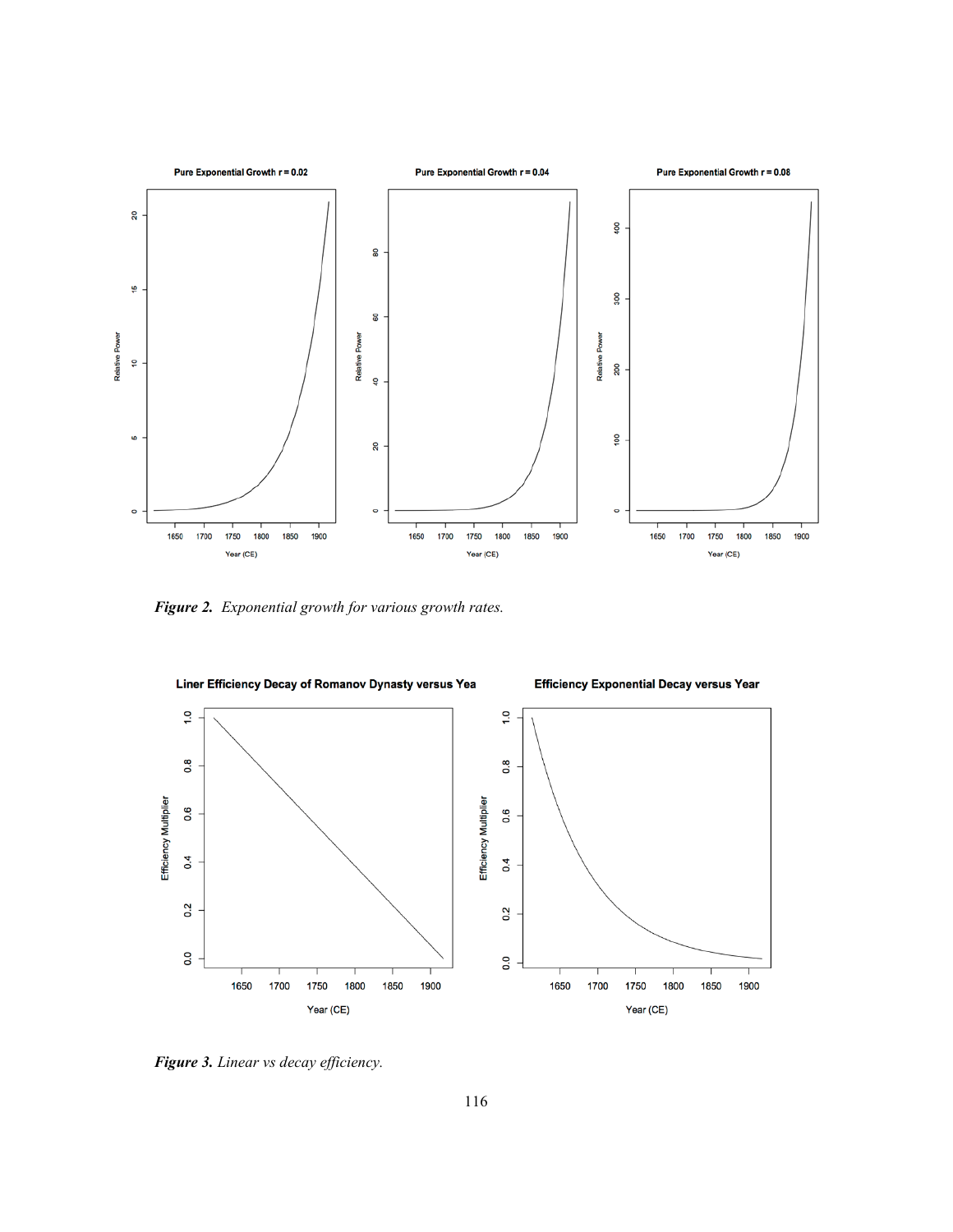

*Figure 2. Exponential growth for various growth rates.*



*Figure 3. Linear vs decay efficiency.*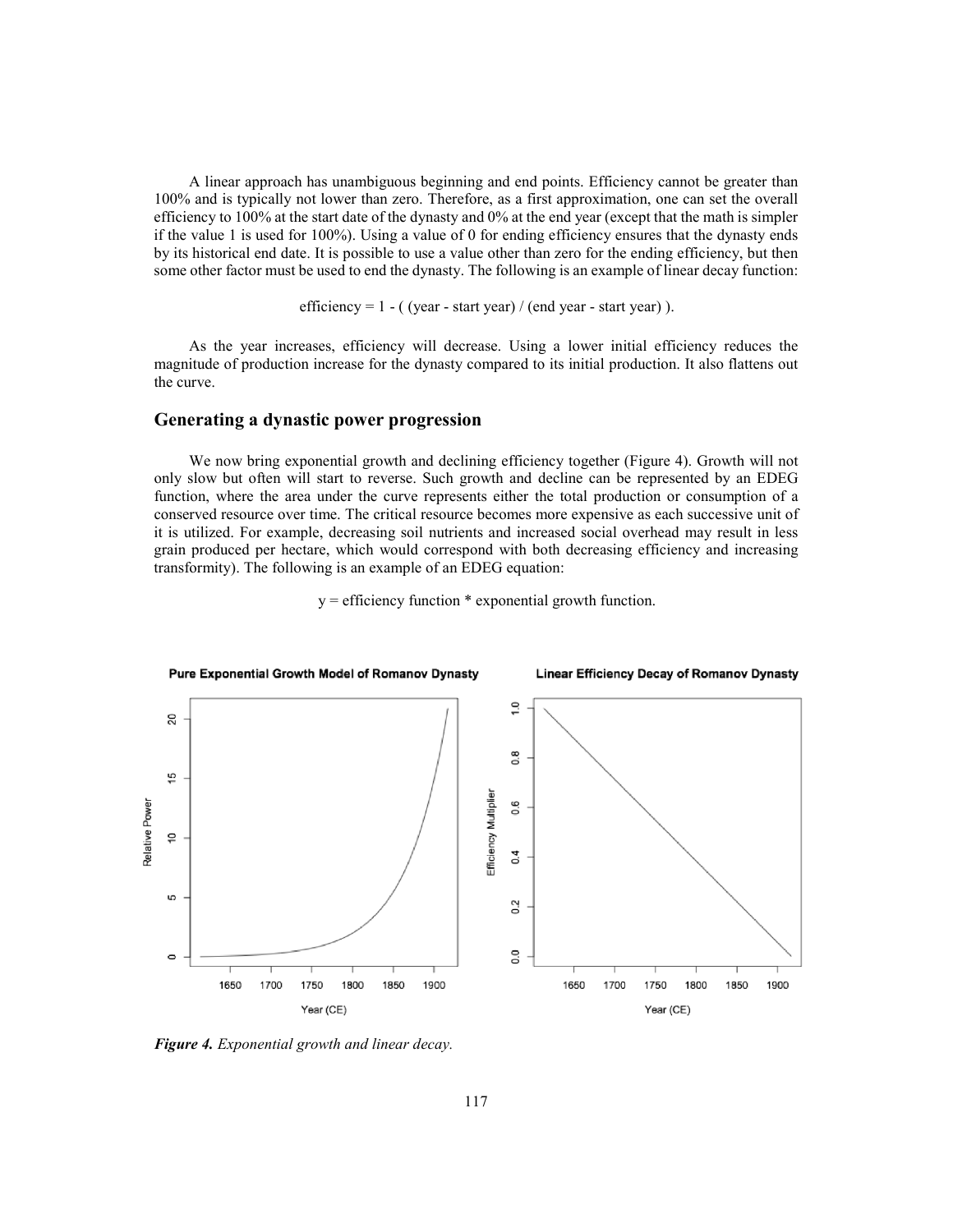A linear approach has unambiguous beginning and end points. Efficiency cannot be greater than 100% and is typically not lower than zero. Therefore, as a first approximation, one can set the overall efficiency to 100% at the start date of the dynasty and 0% at the end year (except that the math is simpler if the value 1 is used for 100%). Using a value of 0 for ending efficiency ensures that the dynasty ends by its historical end date. It is possible to use a value other than zero for the ending efficiency, but then some other factor must be used to end the dynasty. The following is an example of linear decay function:

efficiency =  $1 - ($  (year - start year) / (end year - start year) ).

As the year increases, efficiency will decrease. Using a lower initial efficiency reduces the magnitude of production increase for the dynasty compared to its initial production. It also flattens out the curve.

# **Generating a dynastic power progression**

We now bring exponential growth and declining efficiency together (Figure 4). Growth will not only slow but often will start to reverse. Such growth and decline can be represented by an EDEG function, where the area under the curve represents either the total production or consumption of a conserved resource over time. The critical resource becomes more expensive as each successive unit of it is utilized. For example, decreasing soil nutrients and increased social overhead may result in less grain produced per hectare, which would correspond with both decreasing efficiency and increasing transformity). The following is an example of an EDEG equation:



 $y =$  efficiency function  $*$  exponential growth function.

*Figure 4. Exponential growth and linear decay.*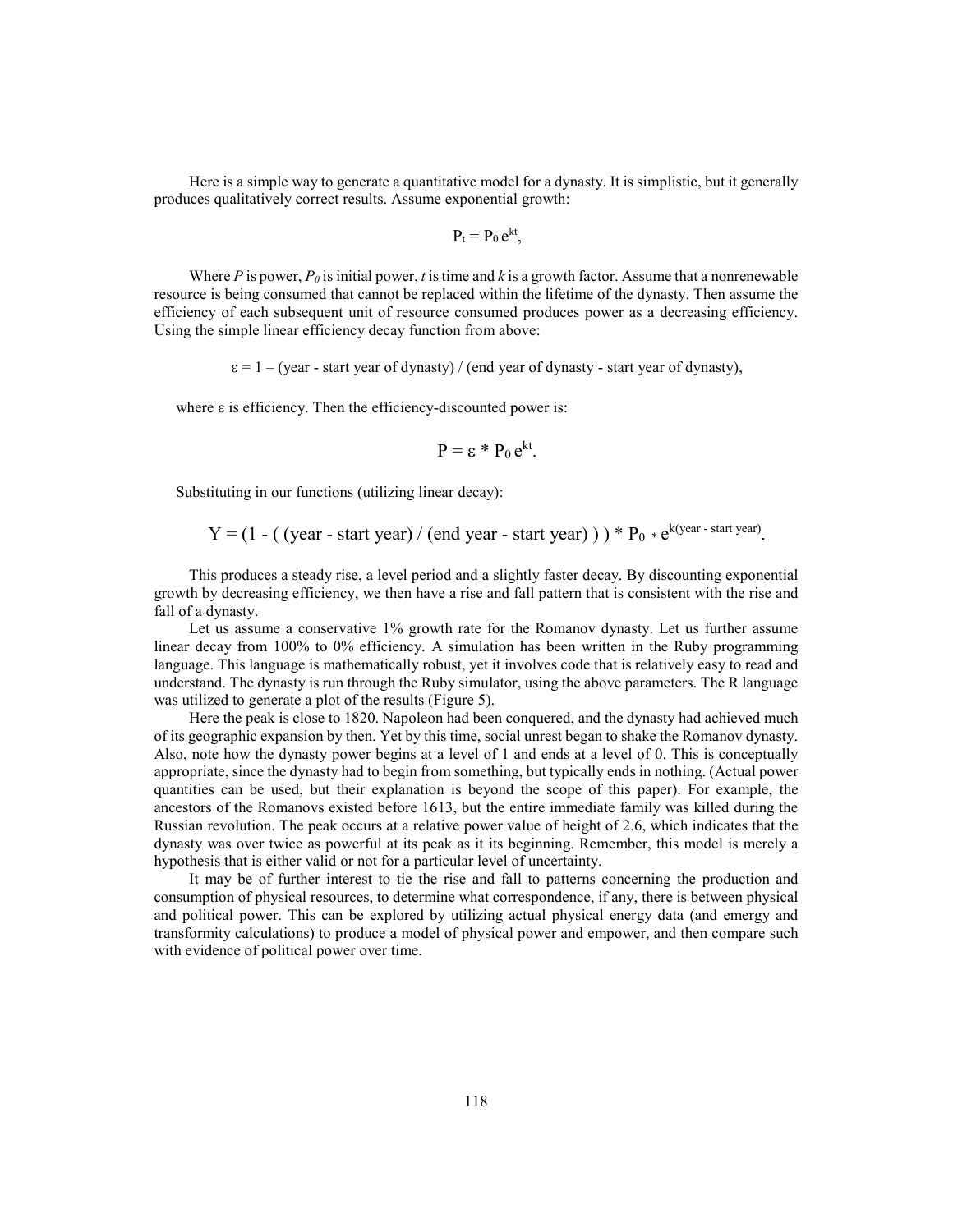Here is a simple way to generate a quantitative model for a dynasty. It is simplistic, but it generally produces qualitatively correct results. Assume exponential growth:

$$
P_t = P_0 e^{kt},
$$

Where *P* is power,  $P_0$  is initial power, *t* is time and *k* is a growth factor. Assume that a nonrenewable resource is being consumed that cannot be replaced within the lifetime of the dynasty. Then assume the efficiency of each subsequent unit of resource consumed produces power as a decreasing efficiency. Using the simple linear efficiency decay function from above:

 $\varepsilon = 1 - (year - start year of dynasty) / (end year of dynasty - start year of dynasty),$ 

where  $\varepsilon$  is efficiency. Then the efficiency-discounted power is:

$$
P = \varepsilon * P_0 e^{kt}.
$$

Substituting in our functions (utilizing linear decay):

 $Y = (1 - ($  (year - start year) / (end year - start year))  $) * P_0 * e^{k(year - start year)}$ .

This produces a steady rise, a level period and a slightly faster decay. By discounting exponential growth by decreasing efficiency, we then have a rise and fall pattern that is consistent with the rise and fall of a dynasty.

Let us assume a conservative 1% growth rate for the Romanov dynasty. Let us further assume linear decay from 100% to 0% efficiency. A simulation has been written in the Ruby programming language. This language is mathematically robust, yet it involves code that is relatively easy to read and understand. The dynasty is run through the Ruby simulator, using the above parameters. The R language was utilized to generate a plot of the results (Figure 5).

Here the peak is close to 1820. Napoleon had been conquered, and the dynasty had achieved much of its geographic expansion by then. Yet by this time, social unrest began to shake the Romanov dynasty. Also, note how the dynasty power begins at a level of 1 and ends at a level of 0. This is conceptually appropriate, since the dynasty had to begin from something, but typically ends in nothing. (Actual power quantities can be used, but their explanation is beyond the scope of this paper). For example, the ancestors of the Romanovs existed before 1613, but the entire immediate family was killed during the Russian revolution. The peak occurs at a relative power value of height of 2.6, which indicates that the dynasty was over twice as powerful at its peak as it its beginning. Remember, this model is merely a hypothesis that is either valid or not for a particular level of uncertainty.

It may be of further interest to tie the rise and fall to patterns concerning the production and consumption of physical resources, to determine what correspondence, if any, there is between physical and political power. This can be explored by utilizing actual physical energy data (and emergy and transformity calculations) to produce a model of physical power and empower, and then compare such with evidence of political power over time.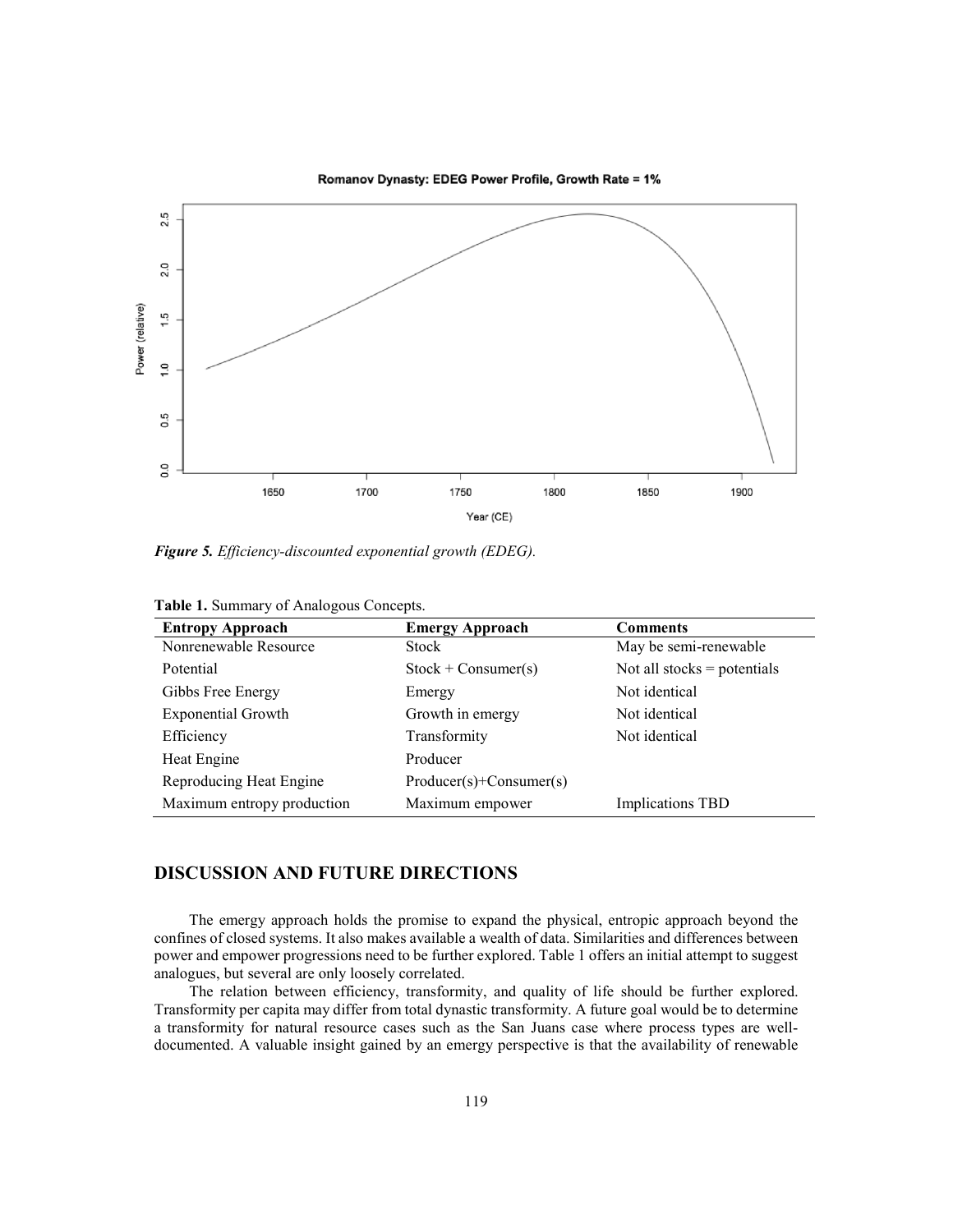

Romanov Dynasty: EDEG Power Profile, Growth Rate = 1%

*Figure 5. Efficiency-discounted exponential growth (EDEG).*

| <b>Entropy Approach</b>    | <b>Emergy Approach</b>   | <b>Comments</b>               |
|----------------------------|--------------------------|-------------------------------|
| Nonrenewable Resource      | Stock                    | May be semi-renewable         |
| Potential                  | $Stock + Consumer(s)$    | Not all stocks $=$ potentials |
| Gibbs Free Energy          | Emergy                   | Not identical                 |
| <b>Exponential Growth</b>  | Growth in emergy         | Not identical                 |
| Efficiency                 | Transformity             | Not identical                 |
| Heat Engine                | Producer                 |                               |
| Reproducing Heat Engine    | $Product(s)+Consumer(s)$ |                               |
| Maximum entropy production | Maximum empower          | <b>Implications TBD</b>       |

**Table 1.** Summary of Analogous Concepts.

# **DISCUSSION AND FUTURE DIRECTIONS**

The emergy approach holds the promise to expand the physical, entropic approach beyond the confines of closed systems. It also makes available a wealth of data. Similarities and differences between power and empower progressions need to be further explored. Table 1 offers an initial attempt to suggest analogues, but several are only loosely correlated.

The relation between efficiency, transformity, and quality of life should be further explored. Transformity per capita may differ from total dynastic transformity. A future goal would be to determine a transformity for natural resource cases such as the San Juans case where process types are welldocumented. A valuable insight gained by an emergy perspective is that the availability of renewable